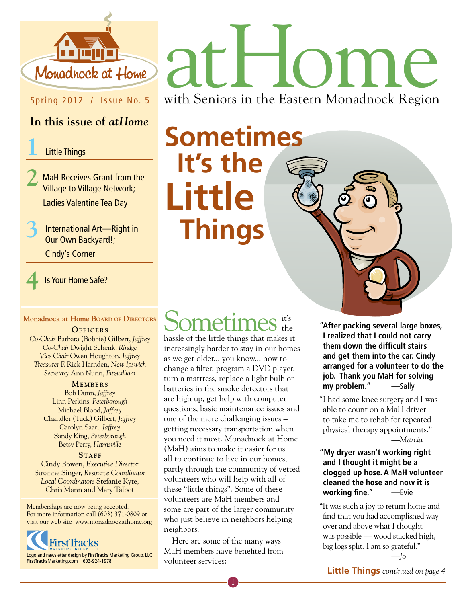

## Spring 2012 / Issue No. 5

### **In this issue of** *atHome*

#### **1** Little Things

**2** MaH Receives Grant from the Village to Village Network; Ladies Valentine Tea Day

**3** International Art—Right in Our Own Backyard!;

Cindy's Corner

**4** Is Your Home Safe?

#### **Monadnock at Home Board of Directors**

**OFFICERS** 

*Co-Chair* Barbara (Bobbie) Gilbert, *Jaffrey Co-Chair* Dwight Schenk, *Rindge Vice Chair* Owen Houghton, *Jaffrey Treasurer* F. Rick Harnden, *New Ipswich Secretary* Ann Nunn, *Fitzwilliam*

#### **MEMBERS**

Bob Dunn, *Jaffrey* Linn Perkins, *Peterborough* Michael Blood, *Jaffrey* Chandler (Tuck) Gilbert, *Jaffrey* Carolyn Saari, *Jaffrey* Sandy King, *Peterborough* Betsy Perry, *Harrisville*

**STAFF** Cindy Bowen, *Executive Director* Suzanne Singer, *Resource Coordinator Local Coordinators* Stefanie Kyte, Chris Mann and Mary Talbot

Memberships are now being accepted. For more information call (603) 371-0809 or visit our web site www.monadnockathome.org



# athome

with Seniors in the Eastern Monadnock Region

**Sometimes It's the Little Things** 

#### Sometimes it's the

hassle of the little things that makes it increasingly harder to stay in our homes as we get older... you know... how to change a filter, program a DVD player, turn a mattress, replace a light bulb or batteries in the smoke detectors that are high up, get help with computer questions, basic maintenance issues and one of the more challenging issues – getting necessary transportation when you need it most. Monadnock at Home (MaH) aims to make it easier for us all to continue to live in our homes, partly through the community of vetted volunteers who will help with all of these "little things". Some of these volunteers are MaH members and some are part of the larger community who just believe in neighbors helping neighbors.

Here are some of the many ways MaH members have benefited from volunteer services:

**"After packing several large boxes, I realized that I could not carry them down the difficult stairs and get them into the car. Cindy arranged for a volunteer to do the job. Thank you MaH for solving my problem."** —Sally

"I had some knee surgery and I was able to count on a MaH driver to take me to rehab for repeated physical therapy appointments." —*Marcia*

#### **"My dryer wasn't working right and I thought it might be a clogged up hose. A MaH volunteer cleaned the hose and now it is working fine."** —Evie

"It was such a joy to return home and find that you had accomplished way over and above what I thought was possible — wood stacked high, big logs split. I am so grateful."

—*Jo*

**Little Things** *continued on page 4*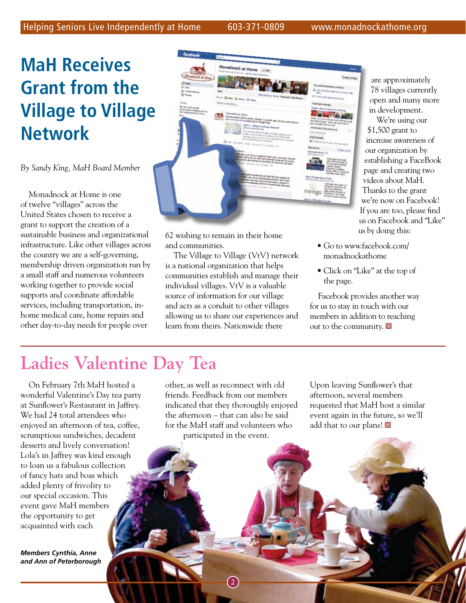## **MaH Receives Grant from the Village to Village Network**

*By Sandy King, MaH Board Member*

Monadnock at Home is one of twelve "villages" across the United States chosen to receive a grant to support the creation of a sustainable business and organizational infrastructure. Like other villages across the country we are a self-governing, membership driven organization run by a small staff and numerous volunteers working together to provide social supports and coordinate affordable services, including transportation, inhome medical care, home repairs and other day-to-day needs for people over



62 wishing to remain in their home and communities.

The Village to Village (VtV) network is a national organization that helps communities establish and manage their individual villages. VtV is a valuable source of information for our village and acts as a conduit to other villages allowing us to share our experiences and learn from theirs. Nationwide there

are approximately 78 villages currently open and many more in development.

We're using our \$1,500 grant to increase awareness of our organization by establishing a FaceBook page and creating two videos about MaH. Thanks to the grant we're now on Facebook! If you are too, please find us on Facebook and "Like" us by doing this:

- Go to www.facebook.com/ monadnockathome
- Click on "Like" at the top of the page.

Facebook provides another way for us to stay in touch with our members in addition to reaching out to the community.

## **Ladies Valentine Day Tea**

On February 7th MaH hosted a wonderful Valentine's Day tea party at Sunflower's Restaurant in Jaffrey. We had 24 total attendees who enjoyed an afternoon of tea, coffee, scrumptious sandwiches, decadent desserts and lively conversation! Lola's in Jaffrey was kind enough to loan us a fabulous collection of fancy hats and boas which added plenty of frivolity to our special occasion. This event gave MaH members the opportunity to get acquainted with each

*Members Cynthia, Anne and Ann of Peterborough* other, as well as reconnect with old friends. Feedback from our members indicated that they thoroughly enjoyed the afternoon – that can also be said for the MaH staff and volunteers who participated in the event.

**2**

Upon leaving Sunflower's that afternoon, several members requested that MaH host a similar event again in the future, so we'll add that to our plans!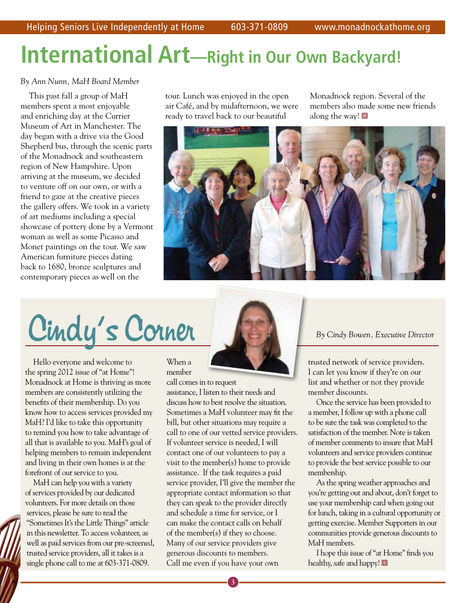## **International Art—Right in Our Own Backyard!**

#### *By Ann Nunn, MaH Board Member*

This past fall a group of MaH members spent a most enjoyable and enriching day at the Currier Museum of Art in Manchester. The day began with a drive via the Good Shepherd bus, through the scenic parts of the Monadnock and southeastern region of New Hampshire. Upon arriving at the museum, we decided to venture off on our own, or with a friend to gaze at the creative pieces the gallery offers. We took in a variety of art mediums including a special showcase of pottery done by a Vermont woman as well as some Picasso and Monet paintings on the tour. We saw American furniture pieces dating back to 1680, bronze sculptures and contemporary pieces as well on the

tour. Lunch was enjoyed in the open air Café, and by midafternoon, we were ready to travel back to our beautiful

Monadnock region. Several of the members also made some new friends along the way!



Cindy's Corner **Corner Corner Executive Director** 

Hello everyone and welcome to the spring 2012 issue of "at Home"! Monadnock at Home is thriving as more members are consistently utilizing the benefits of their membership. Do you know how to access services provided my MaH? I'd like to take this opportunity to remind you how to take advantage of all that is available to you. MaH's goal of helping members to remain independent and living in their own homes is at the forefront of our service to you.

MaH can help you with a variety of services provided by our dedicated volunteers. For more details on those services, please be sure to read the "Sometimes It's the Little Things" article in this newsletter. To access volunteer, as well as paid services from our pre-screened, trusted service providers, all it takes is a single phone call to me at 603-371-0809.

#### When a member

call comes in to request

assistance, I listen to their needs and discuss how to best resolve the situation. Sometimes a MaH volunteer may fit the bill, but other situations may require a call to one of our vetted service providers. If volunteer service is needed, I will contact one of our volunteers to pay a visit to the member(s) home to provide assistance. If the task requires a paid service provider, I'll give the member the appropriate contact information so that they can speak to the provider directly and schedule a time for service, or I can make the contact calls on behalf of the member(s) if they so choose. Many of our service providers give generous discounts to members. Call me even if you have your own

trusted network of service providers. I can let you know if they're on our list and whether or not they provide member discounts.

Once the service has been provided to a member, I follow up with a phone call to be sure the task was completed to the satisfaction of the member. Note is taken of member comments to insure that MaH volunteers and service providers continue to provide the best service possible to our membership.

As the spring weather approaches and you're getting out and about, don't forget to use your membership card when going out for lunch, taking in a cultural opportunity or getting exercise. Member Supporters in our communities provide generous discounts to MaH members.

I hope this issue of "at Home" finds you healthy, safe and happy!